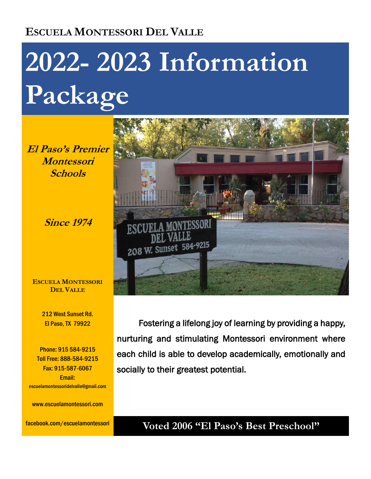# **ESCUELA MONTESSORI DEL VALLE**

# **2022- 2023 Information Package**

**El Paso's Premier Montessori Schools**

**Since 1974**

**ESCUELA MONTESSORI DEL VALLE**

> 212 West Sunset Rd. El Paso, TX 79922

Phone: 915 584-9215 Toll Free: 888-584-9215 Fax: 915-587-6067 Email: escuelamontessoridelvalle@gmail.com

www.escuelamontessori.com

facebook.com/escuelamontessori



 Fostering a lifelong joy of learning by providing a happy, nurturing and stimulating Montessori environment where each child is able to develop academically, emotionally and socially to their greatest potential.

### **Voted 2006 "El Paso's Best Preschool"**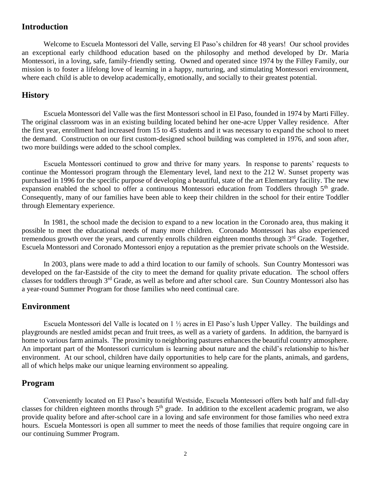#### **Introduction**

Welcome to Escuela Montessori del Valle, serving El Paso's children for 48 years! Our school provides an exceptional early childhood education based on the philosophy and method developed by Dr. Maria Montessori, in a loving, safe, family-friendly setting. Owned and operated since 1974 by the Filley Family, our mission is to foster a lifelong love of learning in a happy, nurturing, and stimulating Montessori environment, where each child is able to develop academically, emotionally, and socially to their greatest potential.

#### **History**

Escuela Montessori del Valle was the first Montessori school in El Paso, founded in 1974 by Marti Filley. The original classroom was in an existing building located behind her one-acre Upper Valley residence. After the first year, enrollment had increased from 15 to 45 students and it was necessary to expand the school to meet the demand. Construction on our first custom-designed school building was completed in 1976, and soon after, two more buildings were added to the school complex.

Escuela Montessori continued to grow and thrive for many years. In response to parents' requests to continue the Montessori program through the Elementary level, land next to the 212 W. Sunset property was purchased in 1996 for the specific purpose of developing a beautiful, state of the art Elementary facility. The new expansion enabled the school to offer a continuous Montessori education from Toddlers through  $5<sup>th</sup>$  grade. Consequently, many of our families have been able to keep their children in the school for their entire Toddler through Elementary experience.

In 1981, the school made the decision to expand to a new location in the Coronado area, thus making it possible to meet the educational needs of many more children. Coronado Montessori has also experienced tremendous growth over the years, and currently enrolls children eighteen months through  $3<sup>rd</sup>$  Grade. Together, Escuela Montessori and Coronado Montessori enjoy a reputation as the premier private schools on the Westside.

In 2003, plans were made to add a third location to our family of schools. Sun Country Montessori was developed on the far-Eastside of the city to meet the demand for quality private education. The school offers classes for toddlers through 3<sup>rd</sup> Grade, as well as before and after school care. Sun Country Montessori also has a year-round Summer Program for those families who need continual care.

#### **Environment**

Escuela Montessori del Valle is located on 1 ½ acres in El Paso's lush Upper Valley. The buildings and playgrounds are nestled amidst pecan and fruit trees, as well as a variety of gardens. In addition, the barnyard is home to various farm animals. The proximity to neighboring pastures enhances the beautiful country atmosphere. An important part of the Montessori curriculum is learning about nature and the child's relationship to his/her environment. At our school, children have daily opportunities to help care for the plants, animals, and gardens, all of which helps make our unique learning environment so appealing.

#### **Program**

Conveniently located on El Paso's beautiful Westside, Escuela Montessori offers both half and full-day classes for children eighteen months through 5<sup>th</sup> grade. In addition to the excellent academic program, we also provide quality before and after-school care in a loving and safe environment for those families who need extra hours. Escuela Montessori is open all summer to meet the needs of those families that require ongoing care in our continuing Summer Program.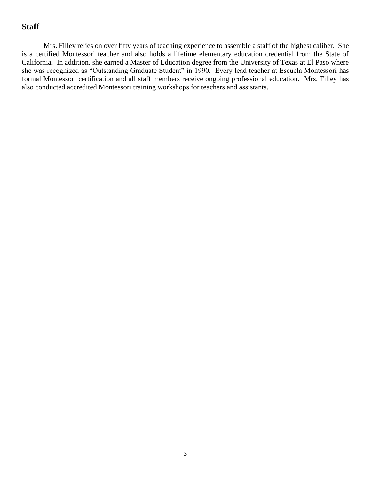#### **Staff**

Mrs. Filley relies on over fifty years of teaching experience to assemble a staff of the highest caliber. She is a certified Montessori teacher and also holds a lifetime elementary education credential from the State of California. In addition, she earned a Master of Education degree from the University of Texas at El Paso where she was recognized as "Outstanding Graduate Student" in 1990. Every lead teacher at Escuela Montessori has formal Montessori certification and all staff members receive ongoing professional education. Mrs. Filley has also conducted accredited Montessori training workshops for teachers and assistants.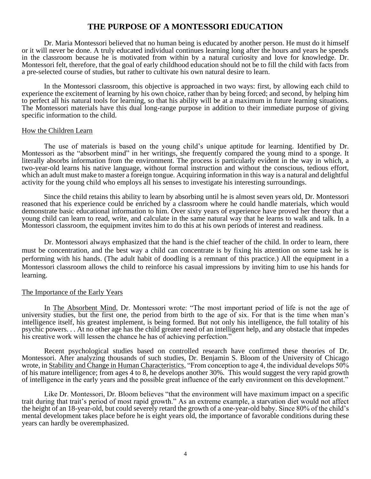#### **THE PURPOSE OF A MONTESSORI EDUCATION**

Dr. Maria Montessori believed that no human being is educated by another person. He must do it himself or it will never be done. A truly educated individual continues learning long after the hours and years he spends in the classroom because he is motivated from within by a natural curiosity and love for knowledge. Dr. Montessori felt, therefore, that the goal of early childhood education should not be to fill the child with facts from a pre-selected course of studies, but rather to cultivate his own natural desire to learn.

In the Montessori classroom, this objective is approached in two ways: first, by allowing each child to experience the excitement of learning by his own choice, rather than by being forced; and second, by helping him to perfect all his natural tools for learning, so that his ability will be at a maximum in future learning situations. The Montessori materials have this dual long-range purpose in addition to their immediate purpose of giving specific information to the child.

#### How the Children Learn

The use of materials is based on the young child's unique aptitude for learning. Identified by Dr. Montessori as the "absorbent mind" in her writings, she frequently compared the young mind to a sponge. It literally absorbs information from the environment. The process is particularly evident in the way in which, a two-year-old learns his native language, without formal instruction and without the conscious, tedious effort, which an adult must make to master a foreign tongue. Acquiring information in this way is a natural and delightful activity for the young child who employs all his senses to investigate his interesting surroundings.

Since the child retains this ability to learn by absorbing until he is almost seven years old, Dr. Montessori reasoned that his experience could be enriched by a classroom where he could handle materials, which would demonstrate basic educational information to him. Over sixty years of experience have proved her theory that a young child can learn to read, write, and calculate in the same natural way that he learns to walk and talk. In a Montessori classroom, the equipment invites him to do this at his own periods of interest and readiness.

Dr. Montessori always emphasized that the hand is the chief teacher of the child. In order to learn, there must be concentration, and the best way a child can concentrate is by fixing his attention on some task he is performing with his hands. (The adult habit of doodling is a remnant of this practice.) All the equipment in a Montessori classroom allows the child to reinforce his casual impressions by inviting him to use his hands for learning.

#### The Importance of the Early Years

In The Absorbent Mind, Dr. Montessori wrote: "The most important period of life is not the age of university studies, but the first one, the period from birth to the age of six. For that is the time when man's intelligence itself, his greatest implement, is being formed. But not only his intelligence, the full totality of his psychic powers. . . At no other age has the child greater need of an intelligent help, and any obstacle that impedes his creative work will lessen the chance he has of achieving perfection."

Recent psychological studies based on controlled research have confirmed these theories of Dr. Montessori. After analyzing thousands of such studies, Dr. Benjamin S. Bloom of the University of Chicago wrote, in Stability and Change in Human Characteristics, "From conception to age 4, the individual develops 50% of his mature intelligence; from ages 4 to 8, he develops another 30%. This would suggest the very rapid growth of intelligence in the early years and the possible great influence of the early environment on this development."

Like Dr. Montessori, Dr. Bloom believes "that the environment will have maximum impact on a specific trait during that trait's period of most rapid growth." As an extreme example, a starvation diet would not affect the height of an 18-year-old, but could severely retard the growth of a one-year-old baby. Since 80% of the child's mental development takes place before he is eight years old, the importance of favorable conditions during these years can hardly be overemphasized.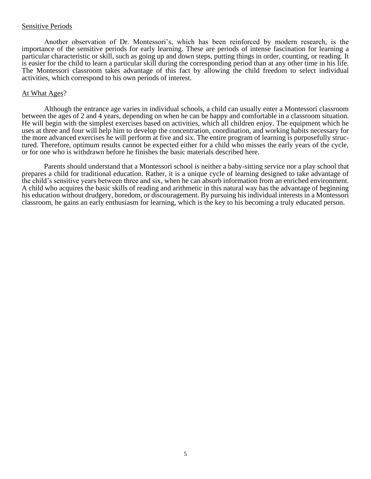#### Sensitive Periods

Another observation of Dr. Montessori's, which has been reinforced by modern research, is the importance of the sensitive periods for early learning. These are periods of intense fascination for learning a particular characteristic or skill, such as going up and down steps, putting things in order, counting, or reading. It is easier for the child to learn a particular skill during the corresponding period than at any other time in his life. The Montessori classroom takes advantage of this fact by allowing the child freedom to select individual activities, which correspond to his own periods of interest.

#### At What Ages?

Although the entrance age varies in individual schools, a child can usually enter a Montessori classroom between the ages of 2 and 4 years, depending on when he can be happy and comfortable in a classroom situation. He will begin with the simplest exercises based on activities, which all children enjoy. The equipment which he uses at three and four will help him to develop the concentration, coordination, and working habits necessary for the more advanced exercises he will perform at five and six. The entire program of learning is purposefully structured. Therefore, optimum results cannot be expected either for a child who misses the early years of the cycle, or for one who is withdrawn before he finishes the basic materials described here.

Parents should understand that a Montessori school is neither a baby-sitting service nor a play school that prepares a child for traditional education. Rather, it is a unique cycle of learning designed to take advantage of the child's sensitive years between three and six, when he can absorb information from an enriched environment. A child who acquires the basic skills of reading and arithmetic in this natural way has the advantage of beginning his education without drudgery, boredom, or discouragement. By pursuing his individual interests in a Montessori classroom, he gains an early enthusiasm for learning, which is the key to his becoming a truly educated person.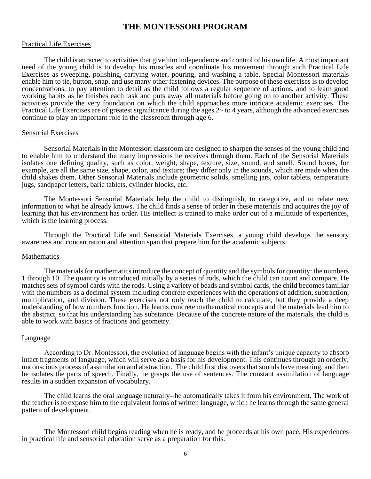#### **THE MONTESSORI PROGRAM**

#### Practical Life Exercises

The child is attracted to activities that give him independence and control of his own life. A most important need of the young child is to develop his muscles and coordinate his movement through such Practical Life Exercises as sweeping, polishing, carrying water, pouring, and washing a table. Special Montessori materials enable him to tie, button, snap, and use many other fastening devices. The purpose of these exercises is to develop concentrations, to pay attention to detail as the child follows a regular sequence of actions, and to learn good working habits as he finishes each task and puts away all materials before going on to another activity. These activities provide the very foundation on which the child approaches more intricate academic exercises. The Practical Life Exercises are of greatest significance during the ages 2~ to 4 years, although the advanced exercises continue to play an important role in the classroom through age 6.

#### Sensorial Exercises

Sensorial Materials in the Montessori classroom are designed to sharpen the senses of the young child and to enable him to understand the many impressions he receives through them. Each of the Sensorial Materials isolates one defining quality, such as color, weight, shape, texture, size, sound, and smell. Sound boxes, for example, are all the same size, shape, color, and texture; they differ only in the sounds, which are made when the child shakes them. Other Sensorial Materials include geometric solids, smelling jars, color tablets, temperature jugs, sandpaper letters, baric tablets, cylinder blocks, etc.

The Montessori Sensorial Materials help the child to distinguish, to categorize, and to relate new information to what he already knows. The child finds a sense of order in these materials and acquires the joy of learning that his environment has order. His intellect is trained to make order out of a multitude of experiences, which is the learning process.

Through the Practical Life and Sensorial Materials Exercises, a young child develops the sensory awareness and concentration and attention span that prepare him for the academic subjects.

#### Mathematics

The materials for mathematics introduce the concept of quantity and the symbols for quantity: the numbers 1 through 10. The quantity is introduced initially by a series of rods, which the child can count and compare. He matches sets of symbol cards with the rods. Using a variety of beads and symbol cards, the child becomes familiar with the numbers as a decimal system including concrete experiences with the operations of addition, subtraction, multiplication, and division. These exercises not only teach the child to calculate, but they provide a deep understanding of how numbers function. He learns concrete mathematical concepts and the materials lead him to the abstract, so that his understanding has substance. Because of the concrete nature of the materials, the child is able to work with basics of fractions and geometry.

#### Language

According to Dr. Montessori, the evolution of language begins with the infant's unique capacity to absorb intact fragments of language, which will serve as a basis for his development. This continues through an orderly, unconscious process of assimilation and abstraction. The child first discovers that sounds have meaning, and then he isolates the parts of speech. Finally, he grasps the use of sentences. The constant assimilation of language results in a sudden expansion of vocabulary.

The child learns the oral language naturally--he automatically takes it from his environment. The work of the teacher is to expose him to the equivalent forms of written language, which he learns through the same general pattern of development.

The Montessori child begins reading when he is ready, and he proceeds at his own pace. His experiences in practical life and sensorial education serve as a preparation for this.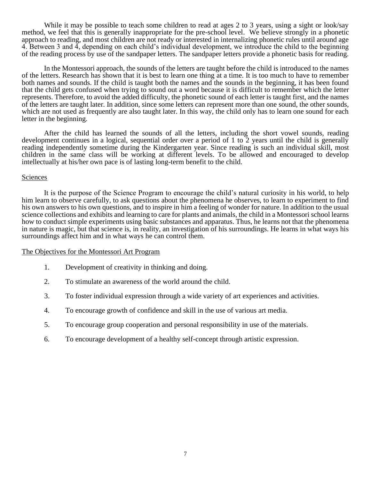While it may be possible to teach some children to read at ages 2 to 3 years, using a sight or look/say method, we feel that this is generally inappropriate for the pre-school level. We believe strongly in a phonetic approach to reading, and most children are not ready or interested in internalizing phonetic rules until around age 4. Between 3 and 4, depending on each child's individual development, we introduce the child to the beginning of the reading process by use of the sandpaper letters. The sandpaper letters provide a phonetic basis for reading.

In the Montessori approach, the sounds of the letters are taught before the child is introduced to the names of the letters. Research has shown that it is best to learn one thing at a time. It is too much to have to remember both names and sounds. If the child is taught both the names and the sounds in the beginning, it has been found that the child gets confused when trying to sound out a word because it is difficult to remember which the letter represents. Therefore, to avoid the added difficulty, the phonetic sound of each letter is taught first, and the names of the letters are taught later. In addition, since some letters can represent more than one sound, the other sounds, which are not used as frequently are also taught later. In this way, the child only has to learn one sound for each letter in the beginning.

After the child has learned the sounds of all the letters, including the short vowel sounds, reading development continues in a logical, sequential order over a period of 1 to  $\tilde{2}$  years until the child is generally reading independently sometime during the Kindergarten year. Since reading is such an individual skill, most children in the same class will be working at different levels. To be allowed and encouraged to develop intellectually at his/her own pace is of lasting long-term benefit to the child.

#### Sciences

It is the purpose of the Science Program to encourage the child's natural curiosity in his world, to help him learn to observe carefully, to ask questions about the phenomena he observes, to learn to experiment to find his own answers to his own questions, and to inspire in him a feeling of wonder for nature. In addition to the usual science collections and exhibits and learning to care for plants and animals, the child in a Montessori school learns how to conduct simple experiments using basic substances and apparatus. Thus, he learns not that the phenomena in nature is magic, but that science is, in reality, an investigation of his surroundings. He learns in what ways his surroundings affect him and in what ways he can control them.

#### The Objectives for the Montessori Art Program

- 1. Development of creativity in thinking and doing.
- 2. To stimulate an awareness of the world around the child.
- 3. To foster individual expression through a wide variety of art experiences and activities.
- 4. To encourage growth of confidence and skill in the use of various art media.
- 5. To encourage group cooperation and personal responsibility in use of the materials.
- 6. To encourage development of a healthy self-concept through artistic expression.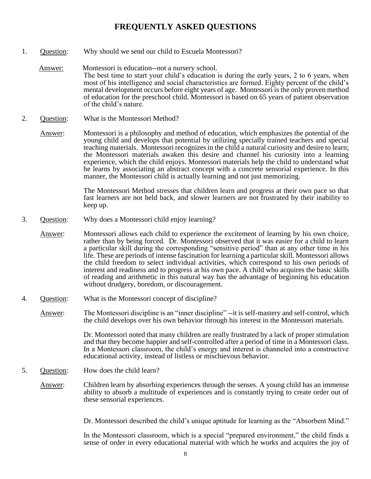#### **FREQUENTLY ASKED QUESTIONS**

- 1. Question: Why should we send our child to Escuela Montessori?
	- Answer: Montessori is education--not a nursery school. The best time to start your child's education is during the early years, 2 to 6 years, when most of his intelligence and social characteristics are formed. Eighty percent of the child's mental development occurs before eight years of age. Montessori is the only proven method of education for the preschool child. Montessori is based on 65 years of patient observation of the child's nature.
- 2. Question: What is the Montessori Method?

Answer: Montessori is a philosophy and method of education, which emphasizes the potential of the young child and develops that potential by utilizing specially trained teachers and special teaching materials. Montessori recognizes in the child a natural curiosity and desire to learn; the Montessori materials awaken this desire and channel his curiosity into a learning experience, which the child enjoys. Montessori materials help the child to understand what he learns by associating an abstract concept with a concrete sensorial experience. In this manner, the Montessori child is actually learning and not just memorizing.

> The Montessori Method stresses that children learn and progress at their own pace so that fast learners are not held back, and slower learners are not frustrated by their inability to keep up.

- 3. Question: Why does a Montessori child enjoy learning?
	- Answer: Montessori allows each child to experience the excitement of learning by his own choice, rather than by being forced. Dr. Montessori observed that it was easier for a child to learn a particular skill during the corresponding "sensitive period" than at any other time in his life. These are periods of intense fascination for learning a particular skill. Montessori allows the child freedom to select individual activities, which correspond to his own periods of interest and readiness and to progress at his own pace. A child who acquires the basic skills of reading and arithmetic in this natural way has the advantage of beginning his education without drudgery, boredom, or discouragement.
- 4. Question: What is the Montessori concept of discipline?

Answer: The Montessori discipline is an "inner discipline" --it is self-mastery and self-control, which the child develops over his own behavior through his interest in the Montessori materials.

> Dr. Montessori noted that many children are really frustrated by a lack of proper stimulation and that they become happier and self-controlled after a period of time in a Montessori class. In a Montessori classroom, the child's energy and interest is channeled into a constructive educational activity, instead of listless or mischievous behavior.

- 5. Question: How does the child learn?
	- Answer: Children learn by absorbing experiences through the senses. A young child has an immense ability to absorb a multitude of experiences and is constantly trying to create order out of these sensorial experiences.

Dr. Montessori described the child's unique aptitude for learning as the "Absorbent Mind."

In the Montessori classroom, which is a special "prepared environment," the child finds a sense of order in every educational material with which he works and acquires the joy of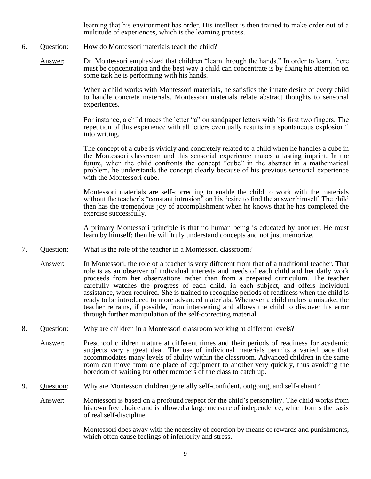learning that his environment has order. His intellect is then trained to make order out of a multitude of experiences, which is the learning process.

- 6. Question: How do Montessori materials teach the child?
	- Answer: Dr. Montessori emphasized that children "learn through the hands." In order to learn, there must be concentration and the best way a child can concentrate is by fixing his attention on some task he is performing with his hands.

When a child works with Montessori materials, he satisfies the innate desire of every child to handle concrete materials. Montessori materials relate abstract thoughts to sensorial experiences.

For instance, a child traces the letter "a" on sandpaper letters with his first two fingers. The repetition of this experience with all letters eventually results in a spontaneous explosion'' into writing.

The concept of a cube is vividly and concretely related to a child when he handles a cube in the Montessori classroom and this sensorial experience makes a lasting imprint. In the future, when the child confronts the concept "cube" in the abstract in a mathematical problem, he understands the concept clearly because of his previous sensorial experience with the Montessori cube.

Montessori materials are self-correcting to enable the child to work with the materials without the teacher's "constant intrusion" on his desire to find the answer himself. The child then has the tremendous joy of accomplishment when he knows that he has completed the exercise successfully.

A primary Montessori principle is that no human being is educated by another. He must learn by himself; then he will truly understand concepts and not just memorize.

- 7. Question: What is the role of the teacher in a Montessori classroom?
	- Answer: In Montessori, the role of a teacher is very different from that of a traditional teacher. That role is as an observer of individual interests and needs of each child and her daily work proceeds from her observations rather than from a prepared curriculum. The teacher carefully watches the progress of each child, in each subject, and offers individual assistance, when required. She is trained to recognize periods of readiness when the child is ready to be introduced to more advanced materials. Whenever a child makes a mistake, the teacher refrains, if possible, from intervening and allows the child to discover his error through further manipulation of the self-correcting material.
- 8. Question: Why are children in a Montessori classroom working at different levels?
	- Answer: Preschool children mature at different times and their periods of readiness for academic subjects vary a great deal. The use of individual materials permits a varied pace that accommodates many levels of ability within the classroom. Advanced children in the same room can move from one place of equipment to another very quickly, thus avoiding the boredom of waiting for other members of the class to catch up.
- 9. Question: Why are Montessori children generally self-confident, outgoing, and self-reliant?
	- Answer: Montessori is based on a profound respect for the child's personality. The child works from his own free choice and is allowed a large measure of independence, which forms the basis of real self-discipline.

Montessori does away with the necessity of coercion by means of rewards and punishments, which often cause feelings of inferiority and stress.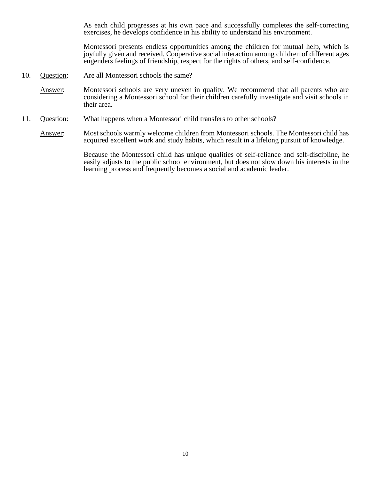As each child progresses at his own pace and successfully completes the self-correcting exercises, he develops confidence in his ability to understand his environment.

Montessori presents endless opportunities among the children for mutual help, which is joyfully given and received. Cooperative social interaction among children of different ages engenders feelings of friendship, respect for the rights of others, and self-confidence.

- 10. Question: Are all Montessori schools the same?
	- Answer: Montessori schools are very uneven in quality. We recommend that all parents who are considering a Montessori school for their children carefully investigate and visit schools in their area.
- 11. Question: What happens when a Montessori child transfers to other schools?

Answer: Most schools warmly welcome children from Montessori schools. The Montessori child has acquired excellent work and study habits, which result in a lifelong pursuit of knowledge.

> Because the Montessori child has unique qualities of self-reliance and self-discipline, he easily adjusts to the public school environment, but does not slow down his interests in the learning process and frequently becomes a social and academic leader.